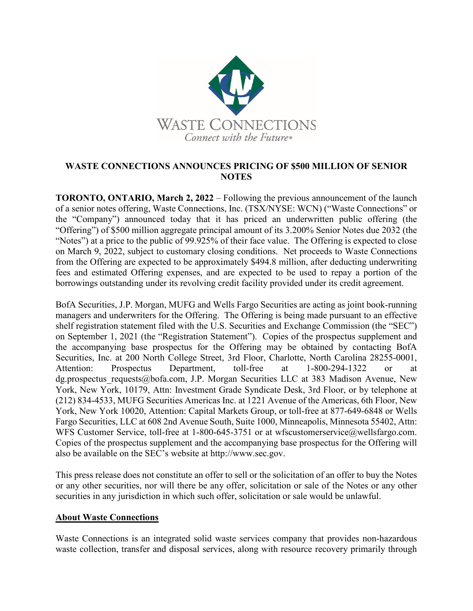

## **WASTE CONNECTIONS ANNOUNCES PRICING OF \$500 MILLION OF SENIOR NOTES**

**TORONTO, ONTARIO, March 2, 2022** – Following the previous announcement of the launch of a senior notes offering, Waste Connections, Inc. (TSX/NYSE: WCN) ("Waste Connections" or the "Company") announced today that it has priced an underwritten public offering (the "Offering") of \$500 million aggregate principal amount of its 3.200% Senior Notes due 2032 (the "Notes") at a price to the public of 99.925% of their face value. The Offering is expected to close on March 9, 2022, subject to customary closing conditions. Net proceeds to Waste Connections from the Offering are expected to be approximately \$494.8 million, after deducting underwriting fees and estimated Offering expenses, and are expected to be used to repay a portion of the borrowings outstanding under its revolving credit facility provided under its credit agreement.

BofA Securities, J.P. Morgan, MUFG and Wells Fargo Securities are acting as joint book-running managers and underwriters for the Offering. The Offering is being made pursuant to an effective shelf registration statement filed with the U.S. Securities and Exchange Commission (the "SEC") on September 1, 2021 (the "Registration Statement"). Copies of the prospectus supplement and the accompanying base prospectus for the Offering may be obtained by contacting BofA Securities, Inc. at 200 North College Street, 3rd Floor, Charlotte, North Carolina 28255-0001, Attention: Prospectus Department, toll-free at 1-800-294-1322 or at dg.prospectus requests@bofa.com, J.P. Morgan Securities LLC at 383 Madison Avenue, New York, New York, 10179, Attn: Investment Grade Syndicate Desk, 3rd Floor, or by telephone at (212) 834-4533, MUFG Securities Americas Inc. at 1221 Avenue of the Americas, 6th Floor, New York, New York 10020, Attention: Capital Markets Group, or toll-free at 877-649-6848 or Wells Fargo Securities, LLC at 608 2nd Avenue South, Suite 1000, Minneapolis, Minnesota 55402, Attn: WFS Customer Service, toll-free at 1-800-645-3751 or at wfscustomerservice@wellsfargo.com. Copies of the prospectus supplement and the accompanying base prospectus for the Offering will also be available on the SEC's website at http://www.sec.gov.

This press release does not constitute an offer to sell or the solicitation of an offer to buy the Notes or any other securities, nor will there be any offer, solicitation or sale of the Notes or any other securities in any jurisdiction in which such offer, solicitation or sale would be unlawful.

## **About Waste Connections**

Waste Connections is an integrated solid waste services company that provides non-hazardous waste collection, transfer and disposal services, along with resource recovery primarily through